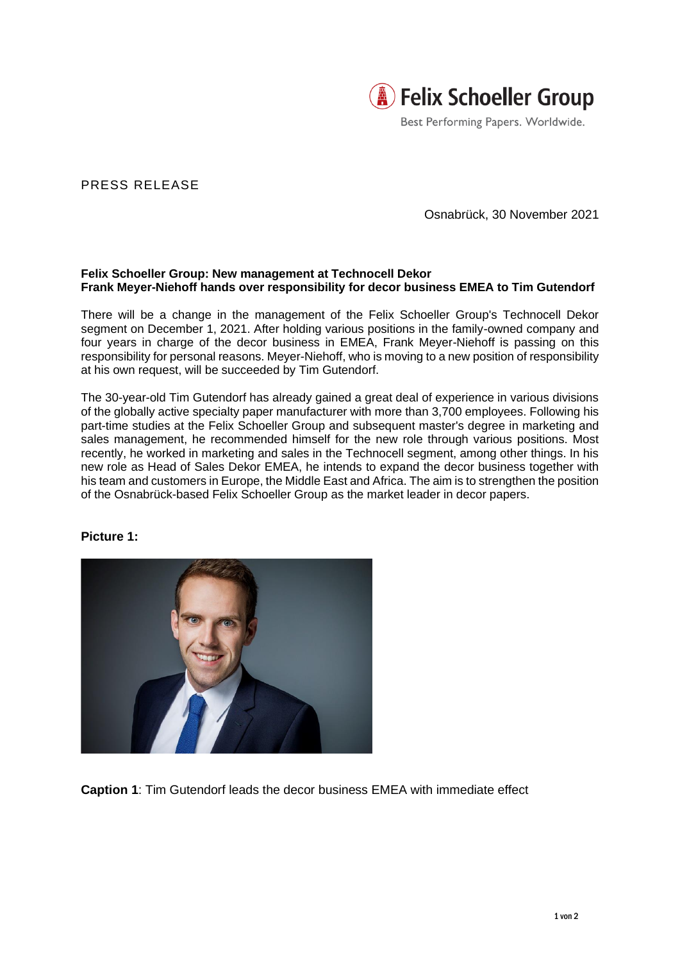

Best Performing Papers. Worldwide.

## PRESS RELEASE

Osnabrück, 30 November 2021

## **Felix Schoeller Group: New management at Technocell Dekor Frank Meyer-Niehoff hands over responsibility for decor business EMEA to Tim Gutendorf**

There will be a change in the management of the Felix Schoeller Group's Technocell Dekor segment on December 1, 2021. After holding various positions in the family-owned company and four years in charge of the decor business in EMEA, Frank Meyer-Niehoff is passing on this responsibility for personal reasons. Meyer-Niehoff, who is moving to a new position of responsibility at his own request, will be succeeded by Tim Gutendorf.

The 30-year-old Tim Gutendorf has already gained a great deal of experience in various divisions of the globally active specialty paper manufacturer with more than 3,700 employees. Following his part-time studies at the Felix Schoeller Group and subsequent master's degree in marketing and sales management, he recommended himself for the new role through various positions. Most recently, he worked in marketing and sales in the Technocell segment, among other things. In his new role as Head of Sales Dekor EMEA, he intends to expand the decor business together with his team and customers in Europe, the Middle East and Africa. The aim is to strengthen the position of the Osnabrück-based Felix Schoeller Group as the market leader in decor papers.

## **Picture 1:**



**Caption 1**: Tim Gutendorf leads the decor business EMEA with immediate effect